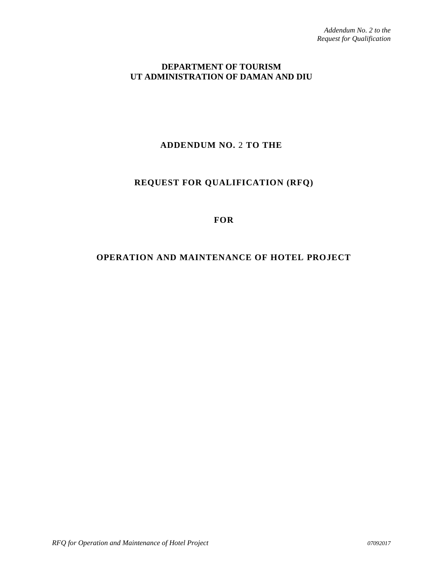### **DEPARTMENT OF TOURISM UT ADMINISTRATION OF DAMAN AND DIU**

# **ADDENDUM NO.** 2 **TO THE**

# **REQUEST FOR QUALIFICATION (RFQ)**

#### **FOR**

## **OPERATION AND MAINTENANCE OF HOTEL PROJECT**